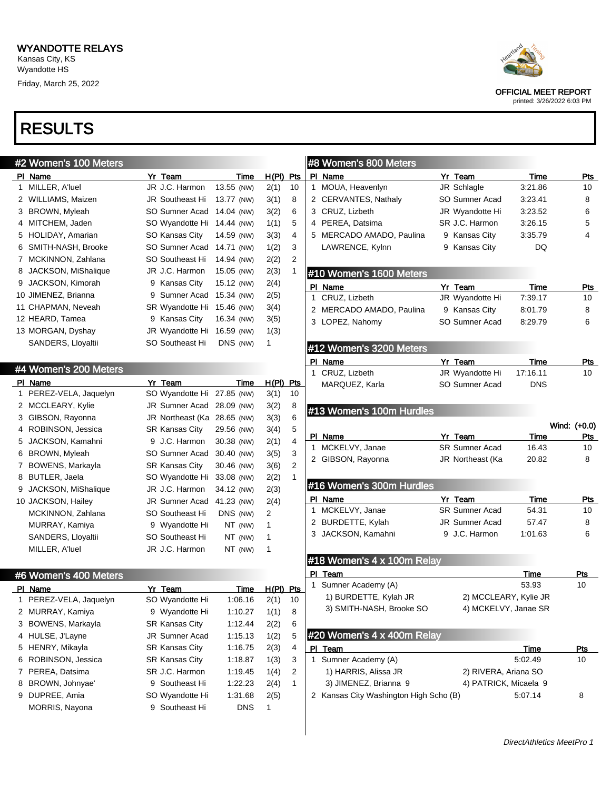

|  | <b>RESULIS</b> |  |
|--|----------------|--|
|  |                |  |

 $400 M_{\odot}$ 

|    | <b>HZ VYUITELIS TUU IVIELEIS</b> |   |                        |            |          |       |     |
|----|----------------------------------|---|------------------------|------------|----------|-------|-----|
| ΡI | Name                             |   | Yr Team                |            | Time     | H(PI) | Pts |
| 1  | MILLER, A'luel                   |   | JR J.C. Harmon         | 13.55 (NW) |          | 2(1)  | 10  |
| 2  | WILLIAMS, Maizen                 |   | <b>JR Southeast Hi</b> | 13.77 (NW) |          | 3(1)  | 8   |
| 3  | BROWN, Myleah                    |   | SO Sumner Acad         | 14.04 (NW) |          | 3(2)  | 6   |
| 4  | MITCHEM, Jaden                   |   | SO Wyandotte Hi        | 14.44 (NW) |          | 1(1)  | 5   |
| 5  | HOLIDAY, Amarian                 |   | SO Kansas City         | 14.59 (NW) |          | 3(3)  | 4   |
| 6  | SMITH-NASH, Brooke               |   | SO Sumner Acad         | 14.71 (NW) |          | 1(2)  | 3   |
| 7  | MCKINNON, Zahlana                |   | SO Southeast Hi        | 14.94 (NW) |          | 2(2)  | 2   |
| 8  | JACKSON, MiShalique              |   | JR J.C. Harmon         | 15.05 (NW) |          | 2(3)  | 1   |
|    | 9 JACKSON, Kimorah               |   | 9 Kansas City          | 15.12 (NW) |          | 2(4)  |     |
|    | 10 JIMENEZ, Brianna              | 9 | Sumner Acad            | 15.34 (NW) |          | 2(5)  |     |
|    | 11 CHAPMAN, Neveah               |   | SR Wyandotte Hi        | 15.46 (NW) |          | 3(4)  |     |
|    | 12 HEARD, Tamea                  |   | 9 Kansas City          | 16.34 (NW) |          | 3(5)  |     |
|    | 13 MORGAN, Dyshay                |   | JR Wyandotte Hi        | 16.59 (NW) |          | 1(3)  |     |
|    | SANDERS, Lloyaltii               |   | SO Southeast Hi        |            | DNS (NW) | 1     |     |
|    |                                  |   |                        |            |          |       |     |

#### #4 Women's 200 Meters

| ΡI | Name                 | Yr Team               | Time       |   | H(PI) | Pts |
|----|----------------------|-----------------------|------------|---|-------|-----|
| 1  | PEREZ-VELA, Jaquelyn | SO Wyandotte Hi       | 27.85 (NW) |   | 3(1)  | 10  |
| 2  | MCCLEARY, Kylie      | <b>JR Sumner Acad</b> | 28.09 (NW) |   | 3(2)  | 8   |
| 3  | GIBSON, Rayonna      | JR Northeast (Ka      | 28.65 (NW) |   | 3(3)  | 6   |
| 4  | ROBINSON, Jessica    | <b>SR Kansas City</b> | 29.56 (NW) |   | 3(4)  | 5   |
| 5  | JACKSON, Kamahni     | 9 J.C. Harmon         | 30.38 (NW) |   | 2(1)  | 4   |
| 6  | BROWN, Myleah        | SO Sumner Acad        | 30.40 (NW) |   | 3(5)  | 3   |
| 7  | BOWENS, Markayla     | SR Kansas City        | 30.46 (NW) |   | 3(6)  | 2   |
| 8  | BUTLER, Jaela        | SO Wyandotte Hi       | 33.08 (NW) |   | 2(2)  | 1   |
| 9  | JACKSON, MiShalique  | JR J.C. Harmon        | 34.12 (NW) |   | 2(3)  |     |
|    | 10 JACKSON, Hailey   | <b>JR Sumner Acad</b> | 41.23 (NW) |   | 2(4)  |     |
|    | MCKINNON, Zahlana    | SO Southeast Hi       | DNS (NW)   | 2 |       |     |
|    | MURRAY, Kamiya       | 9 Wyandotte Hi        | NT (NW)    | 1 |       |     |
|    | SANDERS, Lloyaltii   | SO Southeast Hi       | NT (NW)    | 1 |       |     |
|    | MILLER, A'luel       | JR J.C. Harmon        | NT (NW)    | 1 |       |     |
|    |                      |                       |            |   |       |     |

#### #6 Women's 400 Meters

|   | PI Name                | Yr Team               | Time    | H(PI) | <b>Pts</b> |
|---|------------------------|-----------------------|---------|-------|------------|
|   | 1 PEREZ-VELA, Jaquelyn | SO Wyandotte Hi       | 1:06.16 | 2(1)  | 10         |
|   | 2 MURRAY, Kamiya       | 9 Wyandotte Hi        | 1:10.27 | 1(1)  | 8          |
|   | 3 BOWENS, Markayla     | <b>SR Kansas City</b> | 1:12.44 | 2(2)  | 6          |
| 4 | HULSE, J'Layne         | <b>JR Sumner Acad</b> | 1:15.13 | 1(2)  | 5          |
|   | 5 HENRY, Mikayla       | <b>SR Kansas City</b> | 1:16.75 | 2(3)  | 4          |
| 6 | ROBINSON, Jessica      | <b>SR Kansas City</b> | 1:18.87 | 1(3)  | 3          |
|   | 7 PEREA, Datsima       | SR J.C. Harmon        | 1:19.45 | 1(4)  | 2          |
| 8 | BROWN, Johnyae'        | 9 Southeast Hi        | 1:22.23 | 2(4)  | 1          |
| 9 | DUPREE, Amia           | SO Wyandotte Hi       | 1:31.68 | 2(5)  |            |
|   | <b>MORRIS, Nayona</b>  | 9 Southeast Hi        | DNS     | 1     |            |

OFFICIAL MEET REPORT

printed: 3/26/2022 6:03 PM

|    | #8 Women's 800 Meters                  |                            |                 |              |
|----|----------------------------------------|----------------------------|-----------------|--------------|
|    | PI Name                                | Yr Team                    | Time            | <u>Pts</u>   |
|    | 1 MOUA, Heavenlyn                      | JR Schlagle                | 3:21.86         | 10           |
|    | 2 CERVANTES, Nathaly                   | SO Sumner Acad             | 3:23.41         | 8            |
|    | 3 CRUZ, Lizbeth                        | JR Wyandotte Hi            | 3:23.52         | 6            |
|    | 4 PEREA, Datsima                       | SR J.C. Harmon             | 3:26.15         | 5            |
|    | 5 MERCADO AMADO, Paulina               | 9 Kansas City              | 3:35.79         | 4            |
|    | LAWRENCE, Kylnn                        | 9 Kansas City              | DQ              |              |
|    | #10 Women's 1600 Meters                |                            |                 |              |
|    |                                        |                            |                 |              |
|    | PI Name<br>1 CRUZ, Lizbeth             | Yr Team<br>JR Wyandotte Hi | Time<br>7:39.17 | Pts<br>10    |
|    | 2 MERCADO AMADO, Paulina               | 9 Kansas City              | 8:01.79         | 8            |
|    | 3 LOPEZ, Nahomy                        | SO Sumner Acad             | 8:29.79         | 6            |
|    |                                        |                            |                 |              |
|    | #12 Women's 3200 Meters                |                            |                 |              |
|    | PI Name                                | Yr Team                    | Time            | Pts          |
|    | 1 CRUZ, Lizbeth                        | JR Wyandotte Hi            | 17:16.11        | 10           |
|    | MARQUEZ, Karla                         | SO Sumner Acad             | <b>DNS</b>      |              |
|    |                                        |                            |                 |              |
|    | #13 Women's 100m Hurdles               |                            |                 |              |
|    |                                        |                            |                 | Wind: (+0.0) |
|    | PI Name                                | Yr Team                    | Time            |              |
|    |                                        |                            |                 | Pts          |
| 1. | MCKELVY, Janae                         | <b>SR Sumner Acad</b>      | 16.43           | 10           |
|    | 2 GIBSON, Rayonna                      | JR Northeast (Ka           | 20.82           | 8            |
|    | #16 Women's 300m Hurdles               |                            |                 |              |
|    | PI Name                                | Yr Team                    | Time            | Pts          |
|    | 1 MCKELVY, Janae                       | <b>SR Sumner Acad</b>      | 54.31           | 10           |
|    | 2 BURDETTE, Kylah                      | <b>JR Sumner Acad</b>      | 57.47           | 8            |
|    | 3 JACKSON, Kamahni                     | 9 J.C. Harmon              | 1:01.63         | 6            |
|    |                                        |                            |                 |              |
|    | #18 Women's 4 x 100m Relay             |                            |                 |              |
|    | PI Team                                |                            | Time            | Pts          |
| 1  | Sumner Academy (A)                     |                            | 53.93           | 10           |
|    | 1) BURDETTE, Kylah JR                  | 2) MCCLEARY, Kylie JR      |                 |              |
|    | 3) SMITH-NASH, Brooke SO               | 4) MCKELVY, Janae SR       |                 |              |
|    | #20 Women's 4 x 400m Relay             |                            |                 |              |
|    | <u>PI Team</u>                         |                            | <u>Time</u>     | Pts          |
| 1  | Sumner Academy (A)                     |                            | 5:02.49         | 10           |
|    | 1) HARRIS, Alissa JR                   | 2) RIVERA, Ariana SO       |                 |              |
|    | 3) JIMENEZ, Brianna 9                  | 4) PATRICK, Micaela 9      |                 |              |
|    | 2 Kansas City Washington High Scho (B) |                            | 5:07.14         | 8            |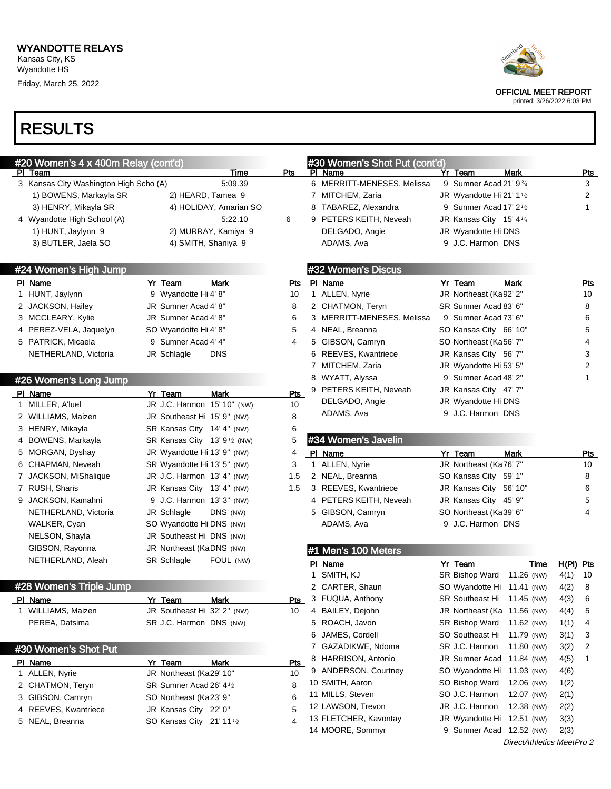

printed: 3/26/2022 6:03 PM

| #20 Women's 4 x 400m Relay (cont'd)               |                                          |            |              | #30 Women's Shot Put (cont'd)         |                                     |             |             |              |
|---------------------------------------------------|------------------------------------------|------------|--------------|---------------------------------------|-------------------------------------|-------------|-------------|--------------|
| PI Team<br>3 Kansas City Washington High Scho (A) | Time<br>5:09.39                          | Pts        |              | PI Name<br>6 MERRITT-MENESES, Melissa | Yr Team<br>9 Sumner Acad 21' 93/4   | <b>Mark</b> |             | Pts<br>3     |
| 1) BOWENS, Markayla SR                            | 2) HEARD, Tamea 9                        |            |              | 7 MITCHEM, Zaria                      | JR Wyandotte Hi 21' $1\frac{1}{2}$  |             |             | 2            |
| 3) HENRY, Mikayla SR                              | 4) HOLIDAY, Amarian SO                   |            |              | 8 TABAREZ, Alexandra                  | 9 Sumner Acad 17' $2\frac{1}{2}$    |             |             | $\mathbf{1}$ |
| 4 Wyandotte High School (A)                       | 5:22.10                                  | 6          |              | 9 PETERS KEITH, Neveah                | JR Kansas City 15' 4 <sup>1/4</sup> |             |             |              |
| 1) HUNT, Jaylynn 9                                | 2) MURRAY, Kamiya 9                      |            |              | DELGADO, Angie                        | JR Wyandotte Hi DNS                 |             |             |              |
| 3) BUTLER, Jaela SO                               | 4) SMITH, Shaniya 9                      |            |              | ADAMS, Ava                            | 9 J.C. Harmon DNS                   |             |             |              |
|                                                   |                                          |            |              |                                       |                                     |             |             |              |
| #24 Women's High Jump                             |                                          |            |              | #32 Women's Discus                    |                                     |             |             |              |
| PI Name                                           | Yr_Team<br><b>Mark</b>                   | <u>Pts</u> |              | PI Name                               | Yr Team                             | <b>Mark</b> |             | Pts          |
| 1 HUNT, Jaylynn                                   | 9 Wyandotte Hi 4' 8"                     | 10         |              | 1 ALLEN, Nyrie                        | JR Northeast (Ka92' 2"              |             |             | 10           |
| 2 JACKSON, Hailey                                 | JR Sumner Acad 4' 8"                     | 8          |              | 2 CHATMON, Teryn                      | SR Sumner Acad 83' 6"               |             |             | 8            |
| 3 MCCLEARY, Kylie                                 | JR Sumner Acad 4' 8"                     | 6          |              | 3 MERRITT-MENESES, Melissa            | 9 Sumner Acad 73' 6"                |             |             | 6            |
| 4 PEREZ-VELA, Jaquelyn                            | SO Wyandotte Hi 4' 8"                    | 5          |              | 4 NEAL, Breanna                       | SO Kansas City 66' 10"              |             |             | 5            |
| 5 PATRICK, Micaela                                | 9 Sumner Acad 4' 4"                      | 4          |              | 5 GIBSON, Camryn                      | SO Northeast (Ka56' 7"              |             |             | 4            |
| NETHERLAND, Victoria                              | JR Schlagle<br><b>DNS</b>                |            |              | 6 REEVES, Kwantriece                  | JR Kansas City 56' 7"               |             |             | 3            |
|                                                   |                                          |            |              | 7 MITCHEM, Zaria                      | JR Wyandotte Hi 53' 5"              |             |             | 2            |
| #26 Women's Long Jump                             |                                          |            |              | 8 WYATT, Alyssa                       | 9 Sumner Acad 48' 2"                |             |             | 1            |
| PI Name                                           | Yr Team<br><b>Mark</b>                   | <u>Pts</u> |              | 9 PETERS KEITH, Neveah                | JR Kansas City 47' 7"               |             |             |              |
| 1 MILLER, A'luel                                  | JR J.C. Harmon 15' 10" (NW)              | 10         |              | DELGADO, Angie                        | JR Wyandotte Hi DNS                 |             |             |              |
| 2 WILLIAMS, Maizen                                | JR Southeast Hi 15' 9" (NW)              | 8          |              | ADAMS, Ava                            | 9 J.C. Harmon DNS                   |             |             |              |
| 3 HENRY, Mikayla                                  | SR Kansas City 14' 4" (NW)               | 6          |              |                                       |                                     |             |             |              |
| BOWENS, Markayla<br>4                             | SR Kansas City 13' 9 <sup>1/2</sup> (NW) | 5          |              | #34 Women's Javelin                   |                                     |             |             |              |
| 5 MORGAN, Dyshay                                  | JR Wyandotte Hi 13' 9" (NW)              | 4          |              | PI Name                               | Yr Team                             | <b>Mark</b> |             | <u>Pts</u>   |
| 6 CHAPMAN, Neveah                                 | SR Wyandotte Hi 13' 5" (NW)              | 3          |              | 1 ALLEN, Nyrie                        | JR Northeast (Ka76' 7"              |             |             | 10           |
| 7 JACKSON, MiShalique                             | JR J.C. Harmon 13' 4" (NW)               | 1.5        |              | 2 NEAL, Breanna                       | SO Kansas City 59' 1"               |             |             | 8            |
| 7 RUSH, Sharis                                    | JR Kansas City 13' 4" (NW)               | 1.5        |              | 3 REEVES, Kwantriece                  | JR Kansas City 56' 10"              |             |             | 6            |
| 9 JACKSON, Kamahni                                | 9 J.C. Harmon 13' 3" (NW)                |            |              | 4 PETERS KEITH, Neveah                | JR Kansas City 45' 9"               |             |             | 5            |
| NETHERLAND, Victoria                              | DNS (NW)<br>JR Schlagle                  |            |              | 5 GIBSON, Camryn                      | SO Northeast (Ka39' 6"              |             |             | 4            |
| WALKER, Cyan                                      | SO Wyandotte Hi DNS (NW)                 |            |              | ADAMS, Ava                            | 9 J.C. Harmon DNS                   |             |             |              |
| NELSON, Shayla                                    | JR Southeast Hi DNS (NW)                 |            |              |                                       |                                     |             |             |              |
| GIBSON, Rayonna                                   | JR Northeast (KaDNS (NW)                 |            |              | #1 Men's 100 Meters                   |                                     |             |             |              |
| NETHERLAND, Aleah                                 | SR Schlagle<br>FOUL (NW)                 |            |              | PI Name                               | Yr Team                             | Time        | $H(PI)$ Pts |              |
|                                                   |                                          |            | $\mathbf{1}$ | SMITH, KJ                             | SR Bishop Ward 11.26 (NW)           |             | 4(1)        | 10           |
| #28 Women's Triple Jump                           |                                          |            |              | 2 CARTER, Shaun                       | SO Wyandotte Hi 11.41 (NW)          |             | 4(2)        | 8            |
| PI Name                                           | <u>Yr Team</u><br><u>Mark</u>            | <u>Pts</u> |              | 3 FUQUA, Anthony                      | SR Southeast Hi 11.45 (NW)          |             | 4(3)        | 6            |
| 1 WILLIAMS, Maizen                                | JR Southeast Hi 32' 2" (NW)              | 10         |              | 4 BAILEY, Dejohn                      | JR Northeast (Ka 11.56 (NW)         |             | 4(4)        | 5            |
| PEREA, Datsima                                    | SR J.C. Harmon DNS (NW)                  |            |              | 5 ROACH, Javon                        | SR Bishop Ward                      | 11.62 (NW)  | 1(1)        | 4            |
|                                                   |                                          |            |              | 6 JAMES, Cordell                      | SO Southeast Hi                     | 11.79 (NW)  | 3(1)        | 3            |
| #30 Women's Shot Put                              |                                          |            |              | 7 GAZADIKWE, Ndoma                    | SR J.C. Harmon                      | 11.80 (NW)  | 3(2)        | 2            |
| PI Name                                           | Yr Team<br>Mark                          | <u>Pts</u> |              | 8 HARRISON, Antonio                   | JR Sumner Acad 11.84 (NW)           |             | 4(5)        | 1            |
| 1 ALLEN, Nyrie                                    | JR Northeast (Ka29' 10"                  | 10         |              | 9 ANDERSON, Courtney                  | SO Wyandotte Hi 11.93 (NW)          |             | 4(6)        |              |
| 2 CHATMON, Teryn                                  | SR Sumner Acad 26' 4 <sup>1/2</sup>      | 8          |              | 10 SMITH, Aaron                       | SO Bishop Ward                      | 12.06 (NW)  | 1(2)        |              |
| 3 GIBSON, Camryn                                  | SO Northeast (Ka23' 9"                   | 6          |              | 11 MILLS, Steven                      | SO J.C. Harmon                      | 12.07 (NW)  | 2(1)        |              |
| 4 REEVES, Kwantriece                              | JR Kansas City 22' 0"                    | 5          |              | 12 LAWSON, Trevon                     | JR J.C. Harmon                      | 12.38 (NW)  | 2(2)        |              |
|                                                   |                                          |            |              | 13 FLETCHER, Kavontay                 | JR Wyandotte Hi 12.51 (NW)          |             | 3(3)        |              |
| 5 NEAL, Breanna                                   | SO Kansas City 21' 11 <sup>1</sup> /2    | 4          |              |                                       |                                     |             |             |              |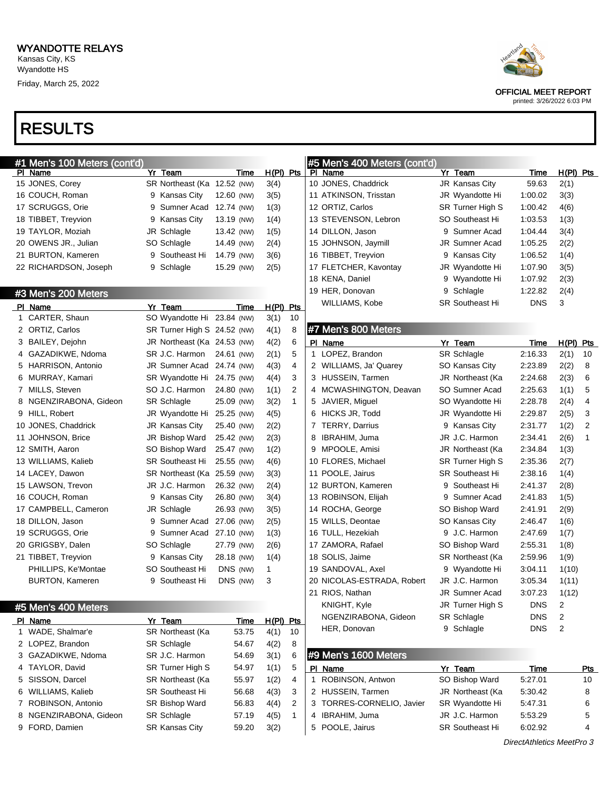

## printed: 3/26/2022 6:03 PM

| #1 Men's 100 Meters (cont'd) |                             |             |           |              | #5 Men's 400 Meters (cont'd) |                        |             |                           |
|------------------------------|-----------------------------|-------------|-----------|--------------|------------------------------|------------------------|-------------|---------------------------|
| PI Name                      | Yr Team                     | Time        | H(PI) Pts |              | PI Name                      | Yr Team                | Time        | $H(PI)$ Pts               |
| 15 JONES, Corey              | SR Northeast (Ka 12.52 (NW) |             | 3(4)      |              | 10 JONES, Chaddrick          | JR Kansas City         | 59.63       | 2(1)                      |
| 16 COUCH, Roman              | 9 Kansas City               | 12.60 (NW)  | 3(5)      |              | 11 ATKINSON, Trisstan        | JR Wyandotte Hi        | 1:00.02     | 3(3)                      |
| 17 SCRUGGS, Orie             | 9 Sumner Acad               | 12.74 (NW)  | 1(3)      |              | 12 ORTIZ, Carlos             | SR Turner High S       | 1:00.42     | 4(6)                      |
| 18 TIBBET, Treyvion          | 9 Kansas City               | 13.19 (NW)  | 1(4)      |              | 13 STEVENSON, Lebron         | SO Southeast Hi        | 1:03.53     | 1(3)                      |
| 19 TAYLOR, Moziah            | JR Schlagle                 | 13.42 (NW)  | 1(5)      |              | 14 DILLON, Jason             | 9 Sumner Acad          | 1:04.44     | 3(4)                      |
| 20 OWENS JR., Julian         | SO Schlagle                 | 14.49 (NW)  | 2(4)      |              | 15 JOHNSON, Jaymill          | <b>JR Sumner Acad</b>  | 1:05.25     | 2(2)                      |
| 21 BURTON, Kameren           | 9 Southeast Hi              | 14.79 (NW)  | 3(6)      |              | 16 TIBBET, Treyvion          | 9 Kansas City          | 1:06.52     | 1(4)                      |
| 22 RICHARDSON, Joseph        | 9 Schlagle                  | 15.29 (NW)  | 2(5)      |              | 17 FLETCHER, Kavontay        | JR Wyandotte Hi        | 1:07.90     | 3(5)                      |
|                              |                             |             |           |              | 18 KENA, Daniel              | 9 Wyandotte Hi         | 1:07.92     | 2(3)                      |
| #3 Men's 200 Meters          |                             |             |           |              | 19 HER, Donovan              | 9 Schlagle             | 1:22.82     | 2(4)                      |
| PI Name                      | Yr_Team                     | Time        | H(PI) Pts |              | WILLIAMS, Kobe               | SR Southeast Hi        | <b>DNS</b>  | 3                         |
| 1 CARTER, Shaun              | SO Wyandotte Hi 23.84 (NW)  |             | 3(1)      | 10           |                              |                        |             |                           |
| 2 ORTIZ, Carlos              | SR Turner High S 24.52 (NW) |             | 4(1)      | 8            | #7 Men's 800 Meters          |                        |             |                           |
| 3 BAILEY, Dejohn             | JR Northeast (Ka 24.53 (NW) |             | 4(2)      | 6            | PI Name                      | Yr Team                | Time        | $H(PI)$ Pts               |
| 4 GAZADIKWE, Ndoma           | SR J.C. Harmon              | 24.61 (NW)  | 2(1)      | 5            | 1 LOPEZ, Brandon             | SR Schlagle            | 2:16.33     | 2(1)<br>10                |
| 5 HARRISON, Antonio          | JR Sumner Acad 24.74 (NW)   |             | 4(3)      | 4            | 2 WILLIAMS, Ja' Quarey       | SO Kansas City         | 2:23.89     | 2(2)<br>8                 |
| 6 MURRAY, Kamari             | SR Wyandotte Hi 24.75 (NW)  |             | 4(4)      | 3            | 3 HUSSEIN, Tarmen            | JR Northeast (Ka       | 2:24.68     | 2(3)<br>6                 |
| 7 MILLS, Steven              | SO J.C. Harmon              | 24.80 (NW)  | 1(1)      | 2            | 4 MCWASHINGTON, Deavan       | SO Sumner Acad         | 2:25.63     | 5<br>1(1)                 |
| 8 NGENZIRABONA, Gideon       | <b>SR Schlagle</b>          | 25.09 (NW)  | 3(2)      | $\mathbf{1}$ | 5 JAVIER, Miguel             | SO Wyandotte Hi        | 2:28.78     | 2(4)<br>4                 |
| 9 HILL, Robert               | JR Wyandotte Hi 25.25 (NW)  |             | 4(5)      |              | 6 HICKS JR, Todd             | JR Wyandotte Hi        | 2:29.87     | 2(5)<br>3                 |
| 10 JONES, Chaddrick          | JR Kansas City              | 25.40 (NW)  | 2(2)      |              | 7 TERRY, Darrius             | 9 Kansas City          | 2:31.77     | 2<br>1(2)                 |
| 11 JOHNSON, Brice            | JR Bishop Ward              | 25.42 (NW)  | 2(3)      |              | 8<br>IBRAHIM, Juma           | JR J.C. Harmon         | 2:34.41     | 2(6)<br>1                 |
| 12 SMITH, Aaron              | SO Bishop Ward              | 25.47 (NW)  | 1(2)      |              | 9 MPOOLE, Amisi              | JR Northeast (Ka       | 2:34.84     | 1(3)                      |
| 13 WILLIAMS, Kalieb          | <b>SR Southeast Hi</b>      | 25.55 (NW)  | 4(6)      |              | 10 FLORES, Michael           | SR Turner High S       | 2:35.36     | 2(7)                      |
| 14 LACEY, Dawon              | SR Northeast (Ka 25.59 (NW) |             | 3(3)      |              | 11 POOLE, Jairus             | <b>SR Southeast Hi</b> | 2:38.16     | 1(4)                      |
| 15 LAWSON, Trevon            | JR J.C. Harmon              | 26.32 (NW)  | 2(4)      |              | 12 BURTON, Kameren           | 9 Southeast Hi         | 2:41.37     | 2(8)                      |
| 16 COUCH, Roman              | 9 Kansas City               | 26.80 (NW)  | 3(4)      |              | 13 ROBINSON, Elijah          | 9 Sumner Acad          | 2:41.83     | 1(5)                      |
| 17 CAMPBELL, Cameron         | JR Schlagle                 | 26.93 (NW)  | 3(5)      |              | 14 ROCHA, George             | SO Bishop Ward         | 2:41.91     | 2(9)                      |
| 18 DILLON, Jason             | 9 Sumner Acad 27.06 (NW)    |             | 2(5)      |              | 15 WILLS, Deontae            | SO Kansas City         | 2:46.47     | 1(6)                      |
| 19 SCRUGGS, Orie             | 9 Sumner Acad 27.10 (NW)    |             | 1(3)      |              | 16 TULL, Hezekiah            | 9 J.C. Harmon          | 2:47.69     | 1(7)                      |
| 20 GRIGSBY, Dalen            | SO Schlagle                 | 27.79 (NW)  | 2(6)      |              | 17 ZAMORA, Rafael            | SO Bishop Ward         | 2:55.31     | 1(8)                      |
| 21 TIBBET, Treyvion          | 9 Kansas City               | 28.18 (NW)  | 1(4)      |              | 18 SOLIS, Jaime              | SR Northeast (Ka       | 2:59.96     | 1(9)                      |
| PHILLIPS, Ke'Montae          | <b>SO Southeast Hi</b>      | DNS (NW)    | 1         |              | 19 SANDOVAL, Axel            | 9 Wyandotte Hi         | 3:04.11     | 1(10)                     |
| <b>BURTON, Kameren</b>       | 9 Southeast Hi              | DNS (NW)    | 3         |              | 20 NICOLAS-ESTRADA, Robert   | JR J.C. Harmon         | 3:05.34     | 1(11)                     |
|                              |                             |             |           |              | 21 RIOS, Nathan              | JR Sumner Acad         | 3:07.23     | 1(12)                     |
|                              |                             |             |           |              | KNIGHT, Kyle                 | JR Turner High S       | <b>DNS</b>  | 2                         |
| #5 Men's 400 Meters          |                             |             |           |              | NGENZIRABONA, Gideon         | <b>SR Schlagle</b>     | <b>DNS</b>  | 2                         |
| PI Name                      | Yr Team                     | <u>Time</u> | H(PI) Pts |              | HER, Donovan                 | 9 Schlagle             | <b>DNS</b>  | 2                         |
| 1 WADE, Shalmar'e            | SR Northeast (Ka            | 53.75       | 4(1)      | 10           |                              |                        |             |                           |
| 2 LOPEZ, Brandon             | <b>SR Schlagle</b>          | 54.67       | 4(2)      | 8            |                              |                        |             |                           |
| 3 GAZADIKWE, Ndoma           | SR J.C. Harmon              | 54.69       | 3(1)      | 6            | #9 Men's 1600 Meters         |                        |             |                           |
| 4 TAYLOR, David              | SR Turner High S            | 54.97       | 1(1)      | 5            | PI Name                      | Yr Team                | <b>Time</b> | <u>Pts</u>                |
| 5 SISSON, Darcel             | SR Northeast (Ka            | 55.97       | 1(2)      | 4            | 1 ROBINSON, Antwon           | SO Bishop Ward         | 5:27.01     | 10                        |
| 6 WILLIAMS, Kalieb           | <b>SR Southeast Hi</b>      | 56.68       | 4(3)      | 3            | 2 HUSSEIN, Tarmen            | JR Northeast (Ka       | 5:30.42     | 8                         |
| 7 ROBINSON, Antonio          | <b>SR Bishop Ward</b>       | 56.83       | 4(4)      | 2            | 3 TORRES-CORNELIO, Javier    | SR Wyandotte Hi        | 5:47.31     | 6                         |
| 8 NGENZIRABONA, Gideon       | <b>SR Schlagle</b>          | 57.19       | 4(5)      | $\mathbf{1}$ | 4 IBRAHIM, Juma              | JR J.C. Harmon         | 5:53.29     | 5                         |
| 9 FORD, Damien               | <b>SR Kansas City</b>       | 59.20       | 3(2)      |              | POOLE, Jairus<br>5           | <b>SR Southeast Hi</b> | 6:02.92     | 4                         |
|                              |                             |             |           |              |                              |                        |             | DirectAthletics MeetPro 3 |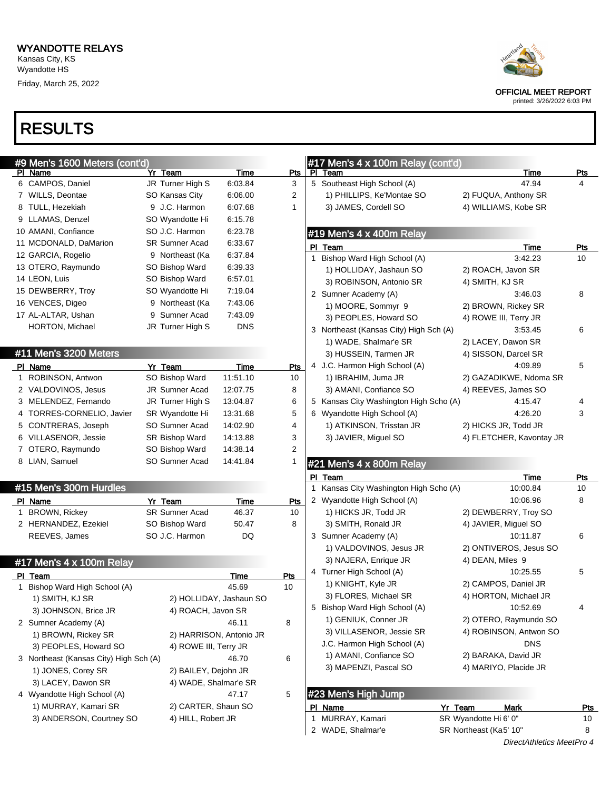

## printed: 3/26/2022 6:03 PM

| #9 Men's 1600 Meters (cont'd)          |                       |                         |                | #17 Men's 4 x 100m Relay (cont'd)      |                          |            |
|----------------------------------------|-----------------------|-------------------------|----------------|----------------------------------------|--------------------------|------------|
| PI Name                                | Yr Team               | Time                    | <u>Pts</u>     | PI Team                                | Time                     | <b>Pts</b> |
| 6 CAMPOS, Daniel                       | JR Turner High S      | 6:03.84                 | 3              | 5 Southeast High School (A)            | 47.94                    | 4          |
| 7 WILLS, Deontae                       | SO Kansas City        | 6:06.00                 | 2              | 1) PHILLIPS, Ke'Montae SO              | 2) FUQUA, Anthony SR     |            |
| 8 TULL, Hezekiah                       | 9 J.C. Harmon         | 6:07.68                 | 1              | 3) JAMES, Cordell SO                   | 4) WILLIAMS, Kobe SR     |            |
| 9 LLAMAS, Denzel                       | SO Wyandotte Hi       | 6:15.78                 |                |                                        |                          |            |
| 10 AMANI, Confiance                    | SO J.C. Harmon        | 6:23.78                 |                | #19 Men's 4 x 400m Relay               |                          |            |
| 11 MCDONALD, DaMarion                  | <b>SR Sumner Acad</b> | 6:33.67                 |                | PI Team                                | <u>Time</u>              | <u>Pts</u> |
| 12 GARCIA, Rogelio                     | 9 Northeast (Ka       | 6:37.84                 |                | Bishop Ward High School (A)            | 3:42.23                  | 10         |
| 13 OTERO, Raymundo                     | SO Bishop Ward        | 6:39.33                 |                | 1) HOLLIDAY, Jashaun SO                | 2) ROACH, Javon SR       |            |
| 14 LEON, Luis                          | SO Bishop Ward        | 6:57.01                 |                | 3) ROBINSON, Antonio SR                | 4) SMITH, KJ SR          |            |
| 15 DEWBERRY, Troy                      | SO Wyandotte Hi       | 7:19.04                 |                | 2 Sumner Academy (A)                   | 3:46.03                  | 8          |
| 16 VENCES, Digeo                       | 9 Northeast (Ka       | 7:43.06                 |                | 1) MOORE, Sommyr 9                     | 2) BROWN, Rickey SR      |            |
| 17 AL-ALTAR, Ushan                     | 9 Sumner Acad         | 7:43.09                 |                | 3) PEOPLES, Howard SO                  | 4) ROWE III, Terry JR    |            |
| HORTON, Michael                        | JR Turner High S      | <b>DNS</b>              |                | 3 Northeast (Kansas City) High Sch (A) | 3:53.45                  | 6          |
|                                        |                       |                         |                | 1) WADE, Shalmar'e SR                  | 2) LACEY, Dawon SR       |            |
| #11 Men's 3200 Meters                  |                       |                         |                | 3) HUSSEIN, Tarmen JR                  | 4) SISSON, Darcel SR     |            |
| PI Name                                | Yr Team               | Time                    | <u>Pts</u>     | 4 J.C. Harmon High School (A)          | 4:09.89                  | 5          |
| 1 ROBINSON, Antwon                     | SO Bishop Ward        | 11:51.10                | 10             | 1) IBRAHIM, Juma JR                    | 2) GAZADIKWE, Ndoma SR   |            |
| 2 VALDOVINOS, Jesus                    | JR Sumner Acad        | 12:07.75                | 8              | 3) AMANI, Confiance SO                 | 4) REEVES, James SO      |            |
| 3 MELENDEZ, Fernando                   | JR Turner High S      | 13:04.87                | 6              | 5 Kansas City Washington High Scho (A) | 4:15.47                  |            |
| 4 TORRES-CORNELIO, Javier              | SR Wyandotte Hi       | 13:31.68                | 5              | 6 Wyandotte High School (A)            | 4:26.20                  | 3          |
| 5 CONTRERAS, Joseph                    | SO Sumner Acad        | 14:02.90                | 4              | 1) ATKINSON, Trisstan JR               | 2) HICKS JR, Todd JR     |            |
| 6 VILLASENOR, Jessie                   | SR Bishop Ward        | 14:13.88                | 3              | 3) JAVIER, Miguel SO                   | 4) FLETCHER, Kavontay JR |            |
| 7 OTERO, Raymundo                      | SO Bishop Ward        | 14:38.14                | $\overline{2}$ |                                        |                          |            |
| 8 LIAN, Samuel                         | SO Sumner Acad        | 14:41.84                | 1              |                                        |                          |            |
|                                        |                       |                         |                | #21 Men's 4 x 800m Relay               |                          |            |
| #15 Men's 300m Hurdles                 |                       |                         |                | PI Team                                | Time                     | <b>Pts</b> |
|                                        |                       |                         |                | 1 Kansas City Washington High Scho (A) | 10:00.84                 | 10         |
| PI Name                                | Yr Team               | Time                    | <u>Pts</u>     | 2 Wyandotte High School (A)            | 10:06.96                 | 8          |
| 1 BROWN, Rickey                        | <b>SR Sumner Acad</b> | 46.37                   | 10             | 1) HICKS JR, Todd JR                   | 2) DEWBERRY, Troy SO     |            |
|                                        |                       |                         |                |                                        |                          |            |
| 2 HERNANDEZ, Ezekiel                   | SO Bishop Ward        | 50.47                   | 8              | 3) SMITH, Ronald JR                    | 4) JAVIER, Miguel SO     |            |
| REEVES, James                          | SO J.C. Harmon        | DQ                      |                | 3 Sumner Academy (A)                   | 10:11.87                 | 6          |
|                                        |                       |                         |                | 1) VALDOVINOS, Jesus JR                | 2) ONTIVEROS, Jesus SO   |            |
| #17 Men's 4 x 100m Relay               |                       |                         |                | 3) NAJERA, Enrique JR                  | 4) DEAN, Miles 9         |            |
| PI Team                                |                       | Time                    | <u>Pts</u>     | 4 Turner High School (A)               | 10:25.55                 | 5          |
| 1 Bishop Ward High School (A)          |                       | 45.69                   | 10             | 1) KNIGHT, Kyle JR                     | 2) CAMPOS, Daniel JR     |            |
| 1) SMITH, KJ SR                        |                       | 2) HOLLIDAY, Jashaun SO |                | 3) FLORES, Michael SR                  | 4) HORTON, Michael JR    |            |
| 3) JOHNSON, Brice JR                   | 4) ROACH, Javon SR    |                         |                | 5 Bishop Ward High School (A)          | 10:52.69                 | 4          |
| 2 Sumner Academy (A)                   |                       | 46.11                   | 8              | 1) GENIUK, Conner JR                   | 2) OTERO, Raymundo SO    |            |
| 1) BROWN, Rickey SR                    |                       | 2) HARRISON, Antonio JR |                | 3) VILLASENOR, Jessie SR               | 4) ROBINSON, Antwon SO   |            |
| 3) PEOPLES, Howard SO                  | 4) ROWE III, Terry JR |                         |                | J.C. Harmon High School (A)            | <b>DNS</b>               |            |
| 3 Northeast (Kansas City) High Sch (A) |                       | 46.70                   | 6              | 1) AMANI, Confiance SO                 | 2) BARAKA, David JR      |            |
| 1) JONES, Corey SR                     | 2) BAILEY, Dejohn JR  |                         |                | 3) MAPENZI, Pascal SO                  | 4) MARIYO, Placide JR    |            |
| 3) LACEY, Dawon SR                     | 4) WADE, Shalmar'e SR |                         |                |                                        |                          |            |
| 4 Wyandotte High School (A)            |                       | 47.17                   | 5              | #23 Men's High Jump                    |                          |            |
| 1) MURRAY, Kamari SR                   | 2) CARTER, Shaun SO   |                         |                | PI Name                                | Yr Team<br><b>Mark</b>   | <u>Pts</u> |
| 3) ANDERSON, Courtney SO               | 4) HILL, Robert JR    |                         |                | 1 MURRAY, Kamari                       | SR Wyandotte Hi 6' 0"    | 10         |
|                                        |                       |                         |                | 2 WADE, Shalmar'e                      | SR Northeast (Ka5' 10"   | 8          |